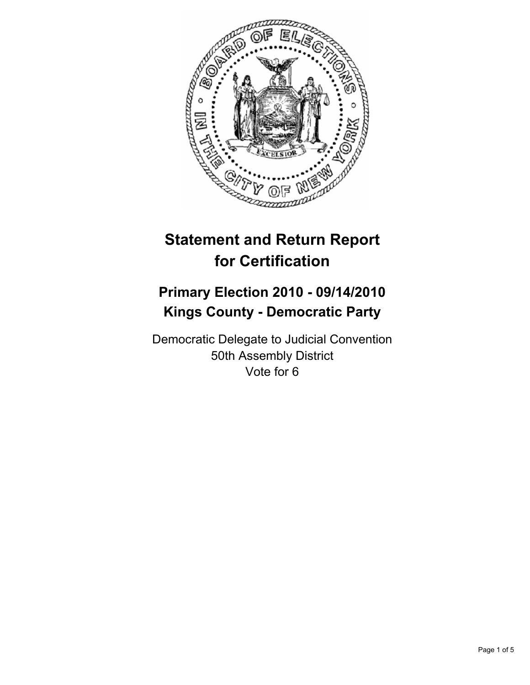

# **Statement and Return Report for Certification**

## **Primary Election 2010 - 09/14/2010 Kings County - Democratic Party**

Democratic Delegate to Judicial Convention 50th Assembly District Vote for 6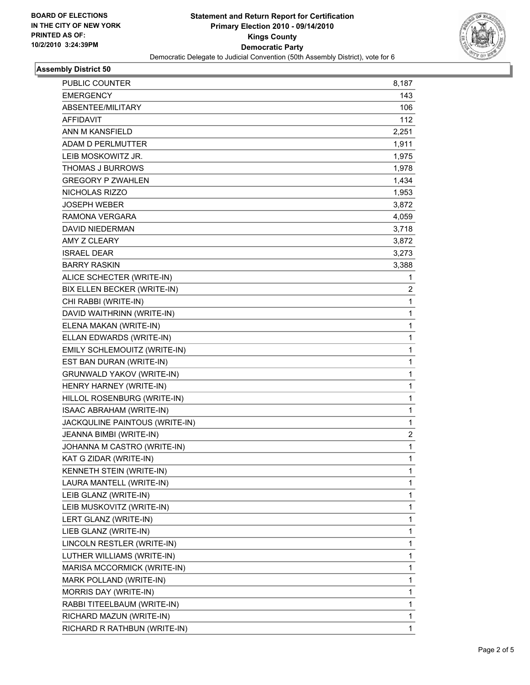

## **Assembly District 50**

| PUBLIC COUNTER                   | 8,187        |
|----------------------------------|--------------|
| <b>EMERGENCY</b>                 | 143          |
| ABSENTEE/MILITARY                | 106          |
| <b>AFFIDAVIT</b>                 | 112          |
| ANN M KANSFIELD                  | 2,251        |
| ADAM D PERLMUTTER                | 1,911        |
| LEIB MOSKOWITZ JR.               | 1,975        |
| THOMAS J BURROWS                 | 1,978        |
| <b>GREGORY P ZWAHLEN</b>         | 1,434        |
| NICHOLAS RIZZO                   | 1,953        |
| <b>JOSEPH WEBER</b>              | 3,872        |
| <b>RAMONA VERGARA</b>            | 4,059        |
| <b>DAVID NIEDERMAN</b>           | 3,718        |
| AMY Z CLEARY                     | 3,872        |
| <b>ISRAEL DEAR</b>               | 3,273        |
| <b>BARRY RASKIN</b>              | 3,388        |
| ALICE SCHECTER (WRITE-IN)        | 1            |
| BIX ELLEN BECKER (WRITE-IN)      | 2            |
| CHI RABBI (WRITE-IN)             | 1            |
| DAVID WAITHRINN (WRITE-IN)       | $\mathbf{1}$ |
| ELENA MAKAN (WRITE-IN)           | 1            |
| ELLAN EDWARDS (WRITE-IN)         | 1            |
| EMILY SCHLEMOUITZ (WRITE-IN)     | 1            |
| EST BAN DURAN (WRITE-IN)         | 1            |
| <b>GRUNWALD YAKOV (WRITE-IN)</b> | 1            |
| HENRY HARNEY (WRITE-IN)          | $\mathbf{1}$ |
| HILLOL ROSENBURG (WRITE-IN)      | 1            |
| ISAAC ABRAHAM (WRITE-IN)         | 1            |
| JACKQULINE PAINTOUS (WRITE-IN)   | 1            |
| JEANNA BIMBI (WRITE-IN)          | 2            |
| JOHANNA M CASTRO (WRITE-IN)      | 1            |
| KAT G ZIDAR (WRITE-IN)           | $\mathbf{1}$ |
| KENNETH STEIN (WRITE-IN)         | 1            |
| LAURA MANTELL (WRITE-IN)         | 1            |
| LEIB GLANZ (WRITE-IN)            | 1            |
| LEIB MUSKOVITZ (WRITE-IN)        | 1            |
| LERT GLANZ (WRITE-IN)            | 1            |
| LIEB GLANZ (WRITE-IN)            | 1            |
| LINCOLN RESTLER (WRITE-IN)       | 1            |
| LUTHER WILLIAMS (WRITE-IN)       | 1            |
| MARISA MCCORMICK (WRITE-IN)      | 1            |
| MARK POLLAND (WRITE-IN)          | 1            |
| MORRIS DAY (WRITE-IN)            | 1            |
| RABBI TITEELBAUM (WRITE-IN)      | 1            |
| RICHARD MAZUN (WRITE-IN)         | 1            |
| RICHARD R RATHBUN (WRITE-IN)     | 1            |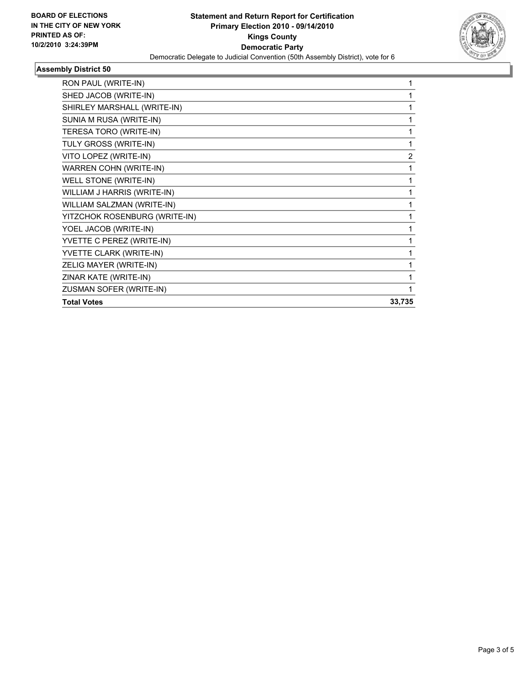

## **Assembly District 50**

| RON PAUL (WRITE-IN)           | 1      |
|-------------------------------|--------|
| SHED JACOB (WRITE-IN)         |        |
| SHIRLEY MARSHALL (WRITE-IN)   |        |
| SUNIA M RUSA (WRITE-IN)       | 1      |
| TERESA TORO (WRITE-IN)        | 1      |
| TULY GROSS (WRITE-IN)         | 1      |
| VITO LOPEZ (WRITE-IN)         | 2      |
| <b>WARREN COHN (WRITE-IN)</b> | 1      |
| WELL STONE (WRITE-IN)         | 1      |
| WILLIAM J HARRIS (WRITE-IN)   | 1      |
| WILLIAM SALZMAN (WRITE-IN)    | 1      |
| YITZCHOK ROSENBURG (WRITE-IN) |        |
| YOEL JACOB (WRITE-IN)         |        |
| YVETTE C PEREZ (WRITE-IN)     |        |
| YVETTE CLARK (WRITE-IN)       |        |
| ZELIG MAYER (WRITE-IN)        |        |
| ZINAR KATE (WRITE-IN)         | 1      |
| ZUSMAN SOFER (WRITE-IN)       | 1      |
| <b>Total Votes</b>            | 33,735 |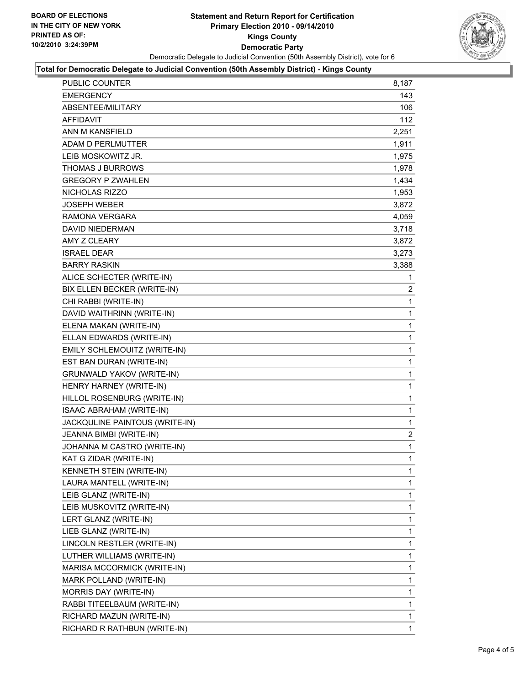

### **Total for Democratic Delegate to Judicial Convention (50th Assembly District) - Kings County**

| PUBLIC COUNTER                   | 8,187          |
|----------------------------------|----------------|
| <b>EMERGENCY</b>                 | 143            |
| ABSENTEE/MILITARY                | 106            |
| <b>AFFIDAVIT</b>                 | 112            |
| ANN M KANSFIELD                  | 2,251          |
| ADAM D PERLMUTTER                | 1,911          |
| LEIB MOSKOWITZ JR.               | 1,975          |
| <b>THOMAS J BURROWS</b>          | 1,978          |
| <b>GREGORY P ZWAHLEN</b>         | 1,434          |
| NICHOLAS RIZZO                   | 1,953          |
| JOSEPH WEBER                     | 3,872          |
| RAMONA VERGARA                   | 4,059          |
| <b>DAVID NIEDERMAN</b>           | 3,718          |
| AMY Z CLEARY                     | 3,872          |
| <b>ISRAEL DEAR</b>               | 3,273          |
| <b>BARRY RASKIN</b>              | 3,388          |
| ALICE SCHECTER (WRITE-IN)        | 1              |
| BIX ELLEN BECKER (WRITE-IN)      | $\overline{2}$ |
| CHI RABBI (WRITE-IN)             | 1              |
| DAVID WAITHRINN (WRITE-IN)       | 1              |
| ELENA MAKAN (WRITE-IN)           | 1              |
| ELLAN EDWARDS (WRITE-IN)         | 1              |
| EMILY SCHLEMOUITZ (WRITE-IN)     | 1              |
| EST BAN DURAN (WRITE-IN)         | 1              |
| <b>GRUNWALD YAKOV (WRITE-IN)</b> | 1              |
| HENRY HARNEY (WRITE-IN)          | 1              |
| HILLOL ROSENBURG (WRITE-IN)      | 1              |
| ISAAC ABRAHAM (WRITE-IN)         | 1              |
| JACKQULINE PAINTOUS (WRITE-IN)   | 1              |
| JEANNA BIMBI (WRITE-IN)          | $\overline{2}$ |
| JOHANNA M CASTRO (WRITE-IN)      | 1              |
| KAT G ZIDAR (WRITE-IN)           | 1              |
| KENNETH STEIN (WRITE-IN)         | 1              |
| LAURA MANTELL (WRITE-IN)         | 1              |
| LEIB GLANZ (WRITE-IN)            | 1              |
| LEIB MUSKOVITZ (WRITE-IN)        | 1              |
| LERT GLANZ (WRITE-IN)            | 1              |
| LIEB GLANZ (WRITE-IN)            | 1              |
| LINCOLN RESTLER (WRITE-IN)       | 1              |
| LUTHER WILLIAMS (WRITE-IN)       | 1              |
| MARISA MCCORMICK (WRITE-IN)      | 1              |
| MARK POLLAND (WRITE-IN)          | 1              |
| MORRIS DAY (WRITE-IN)            | 1              |
| RABBI TITEELBAUM (WRITE-IN)      | 1              |
| RICHARD MAZUN (WRITE-IN)         | 1              |
| RICHARD R RATHBUN (WRITE-IN)     | 1              |